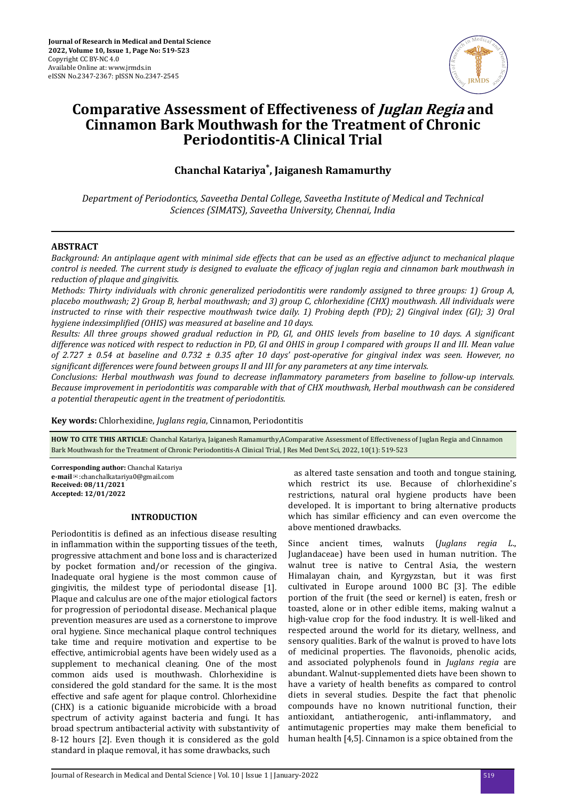

# **Comparative Assessment of Effectiveness of Juglan Regia and Cinnamon Bark Mouthwash for the Treatment of Chronic Periodontitis-A Clinical Trial**

**Chanchal Katariya\* , Jaiganesh Ramamurthy**

*Department of Periodontics, Saveetha Dental College, Saveetha Institute of Medical and Technical Sciences (SIMATS), Saveetha University, Chennai, India*

## **ABSTRACT**

*Background: An antiplaque agent with minimal side effects that can be used as an effective adjunct to mechanical plaque control is needed. The current study is designed to evaluate the efficacy of juglan regia and cinnamon bark mouthwash in reduction of plaque and gingivitis.*

*Methods: Thirty individuals with chronic generalized periodontitis were randomly assigned to three groups: 1) Group A, placebo mouthwash; 2) Group B, herbal mouthwash; and 3) group C, chlorhexidine (CHX) mouthwash. All individuals were instructed to rinse with their respective mouthwash twice daily. 1) Probing depth (PD); 2) Gingival index (GI); 3) Oral hygiene indexsimplified (OHIS) was measured at baseline and 10 days.* 

*Results: All three groups showed gradual reduction in PD, GI, and OHIS levels from baseline to 10 days. A significant difference was noticed with respect to reduction in PD, GI and OHIS in group I compared with groups II and III. Mean value of 2.727 ± 0.54 at baseline and 0.732 ± 0.35 after 10 days' post-operative for gingival index was seen. However, no* significant differences were found between groups II and III for any parameters at any time intervals.

*Conclusions: Herbal mouthwash was found to decrease nϔlmmtory parameters from baseline to follow-up intervals. Because improvement in periodontitis was comparable with that of CHX mouthwash, Herbal mouthwash can be considered a potential therapeutic agent in the treatment of periodontitis.*

**Key words:** Chlorhexidine, *Juglans regia*, Cinnamon, Periodontitis

**HOW TO CITE THIS ARTICLE:** Chanchal Katariya, Jaiganesh Ramamurthy,AComparative Assessment of Effectiveness of Juglan Regia and Cinnamon Bark Mouthwash for the Treatment of Chronic Periodontitis-A Clinical Trial, J Res Med Dent Sci, 2022, 10(1): 519-523

**Corresponding author:** Chanchal Katariya **e-mail**✉:chanchalkatariya0@gmail.com **Received: 08/11/2021 Accepted: 12/01/2022** 

## **INTRODUCTION**

Periodontitis is defined as an infectious disease resulting in inflammation within the supporting tissues of the teeth, progressive attachment and bone loss and is characterized by pocket formation and/or recession of the gingiva. Inadequate oral hygiene is the most common cause of gingivitis, the mildest type of periodontal disease [1]. Plaque and calculus are one of the major etiological factors for progression of periodontal disease. Mechanical plaque prevention measures are used as a cornerstone to improve oral hygiene. Since mechanical plaque control techniques take time and require motivation and expertise to be effective, antimicrobial agents have been widely used as a supplement to mechanical cleaning. One of the most common aids used is mouthwash. Chlorhexidine is considered the gold standard for the same. It is the most effective and safe agent for plaque control. Chlorhexidine (CHX) is a cationic biguanide microbicide with a broad spectrum of activity against bacteria and fungi. It has broad spectrum antibacterial activity with substantivity of 8-12 hours [2]. Even though it is considered as the gold standard in plaque removal, it has some drawbacks, such

 as altered taste sensation and tooth and tongue staining, which restrict its use. Because of chlorhexidine's restrictions, natural oral hygiene products have been developed. It is important to bring alternative products which has similar efficiency and can even overcome the above mentioned drawbacks.

Since ancient times, walnuts (*Juglans regia L*., Juglandaceae) have been used in human nutrition. The walnut tree is native to Central Asia, the western Himalayan chain, and Kyrgyzstan, but it was first cultivated in Europe around 1000 BC [3]. The edible portion of the fruit (the seed or kernel) is eaten, fresh or toasted, alone or in other edible items, making walnut a high-value crop for the food industry. It is well-liked and respected around the world for its dietary, wellness, and sensory qualities. Bark of the walnut is proved to have lots of medicinal properties. The flavonoids, phenolic acids, and associated polyphenols found in *Juglans regia* are abundant. Walnut-supplemented diets have been shown to have a variety of health benefits as compared to control diets in several studies. Despite the fact that phenolic compounds have no known nutritional function, their antioxidant, antiatherogenic, anti-inflammatory, and antimutagenic properties may make them beneficial to human health [4,5]. Cinnamon is a spice obtained from the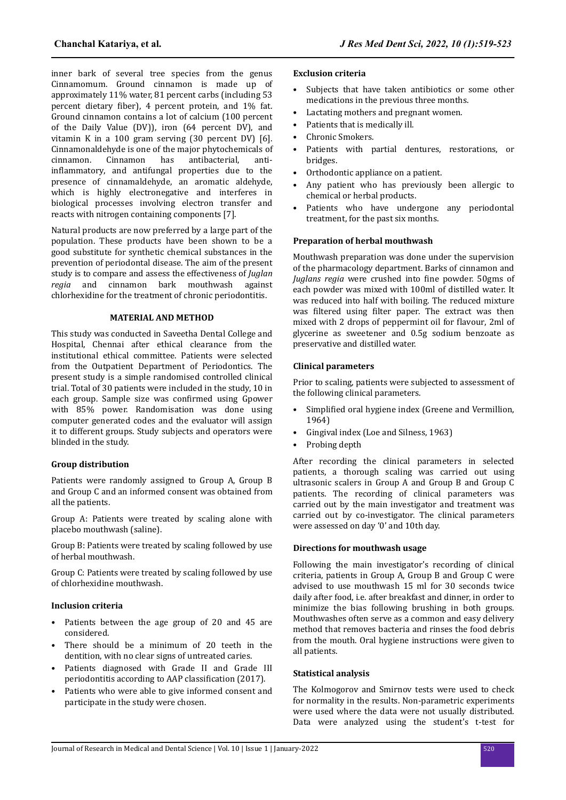inner bark of several tree species from the genus Cinnamomum. Ground cinnamon is made up of approximately 11% water, 81 percent carbs (including 53 percent dietary fiber), 4 percent protein, and 1% fat. Ground cinnamon contains a lot of calcium (100 percent of the Daily Value (DV)), iron (64 percent DV), and vitamin K in a 100 gram serving (30 percent DV) [6]. Cinnamonaldehyde is one of the major phytochemicals of cinnamon. Cinnamon has antibacterial, antiinflammatory, and antifungal properties due to the presence of cinnamaldehyde, an aromatic aldehyde, which is highly electronegative and interferes in biological processes involving electron transfer and reacts with nitrogen containing components [7].

Natural products are now preferred by a large part of the population. These products have been shown to be a good substitute for synthetic chemical substances in the prevention of periodontal disease. The aim of the present study is to compare and assess the effectiveness of *Juglan regia* and cinnamon bark mouthwash against chlorhexidine for the treatment of chronic periodontitis.

# **MATERIAL AND METHOD**

This study was conducted in Saveetha Dental College and Hospital, Chennai after ethical clearance from the institutional ethical committee. Patients were selected from the Outpatient Department of Periodontics. The present study is a simple randomised controlled clinical trial. Total of 30 patients were included in the study, 10 in each group. Sample size was confirmed using Gpower with 85% power. Randomisation was done using computer generated codes and the evaluator will assign it to different groups. Study subjects and operators were blinded in the study.

# **Group distribution**

Patients were randomly assigned to Group A, Group B and Group C and an informed consent was obtained from all the patients.

Group A: Patients were treated by scaling alone with placebo mouthwash (saline).

Group B: Patients were treated by scaling followed by use of herbal mouthwash.

Group C: Patients were treated by scaling followed by use of chlorhexidine mouthwash.

## **Inclusion criteria**

- Patients between the age group of 20 and 45 are considered.
- There should be a minimum of 20 teeth in the dentition, with no clear signs of untreated caries.
- Patients diagnosed with Grade II and Grade III periodontitis according to AAP classification (2017).
- Patients who were able to give informed consent and participate in the study were chosen.

#### **Exclusion criteria**

- Subjects that have taken antibiotics or some other medications in the previous three months.
- Lactating mothers and pregnant women.
- Patients that is medically ill.
- Chronic Smokers.
- Patients with partial dentures, restorations, or bridges.
- Orthodontic appliance on a patient.
- Any patient who has previously been allergic to chemical or herbal products.
- Patients who have undergone any periodontal treatment, for the past six months.

## **Preparation of herbal mouthwash**

Mouthwash preparation was done under the supervision of the pharmacology department. Barks of cinnamon and *Juglans regia* were crushed into fine powder. 50gms of each powder was mixed with 100ml of distilled water. It was reduced into half with boiling. The reduced mixture was filtered using filter paper. The extract was then mixed with 2 drops of peppermint oil for flavour, 2ml of glycerine as sweetener and 0.5g sodium benzoate as preservative and distilled water.

## **Clinical parameters**

Prior to scaling, patients were subjected to assessment of the following clinical parameters.

- Simplified oral hygiene index (Greene and Vermillion, 1964)
- Gingival index (Loe and Silness, 1963)
- Probing depth

After recording the clinical parameters in selected patients, a thorough scaling was carried out using ultrasonic scalers in Group A and Group B and Group C patients. The recording of clinical parameters was carried out by the main investigator and treatment was carried out by co-investigator. The clinical parameters were assessed on day '0' and 10th day.

## **Directions for mouthwash usage**

Following the main investigator's recording of clinical criteria, patients in Group A, Group B and Group C were advised to use mouthwash 15 ml for 30 seconds twice daily after food, i.e. after breakfast and dinner, in order to minimize the bias following brushing in both groups. Mouthwashes often serve as a common and easy delivery method that removes bacteria and rinses the food debris from the mouth. Oral hygiene instructions were given to all patients.

## **Statistical analysis**

The Kolmogorov and Smirnov tests were used to check for normality in the results. Non-parametric experiments were used where the data were not usually distributed. Data were analyzed using the student's t-test for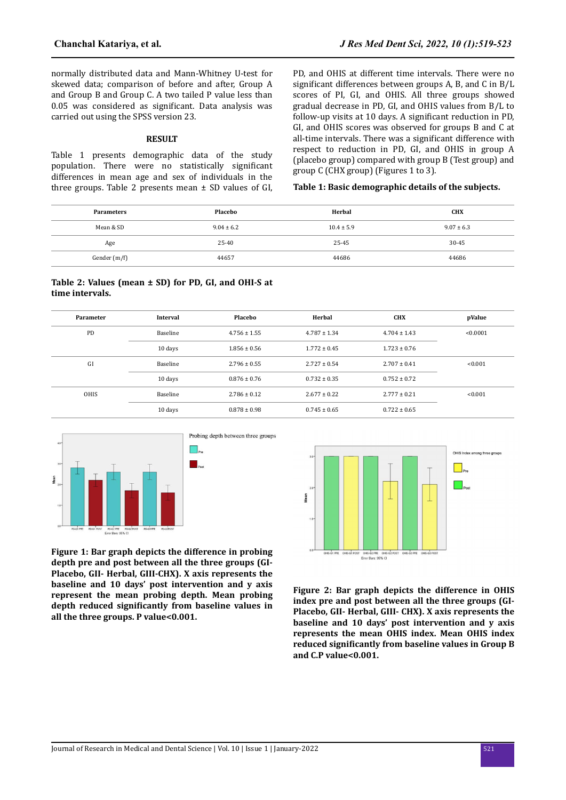normally distributed data and Mann-Whitney U-test for skewed data; comparison of before and after, Group A and Group B and Group C. A two tailed P value less than 0.05 was considered as significant. Data analysis was carried out using the SPSS version 23.

#### **RESULT**

Table 1 presents demographic data of the study population. There were no statistically significant differences in mean age and sex of individuals in the three groups. Table 2 presents mean  $\pm$  SD values of GI, PD, and OHIS at different time intervals. There were no significant differences between groups A, B, and C in  $B/L$ scores of PI, GI, and OHIS. All three groups showed gradual decrease in PD, GI, and OHIS values from B/L to follow-up visits at 10 days. A significant reduction in PD, GI, and OHIS scores was observed for groups B and C at all-time intervals. There was a significant difference with respect to reduction in PD, GI, and OHIS in group A (placebo group) compared with group B (Test group) and group C (CHX group) (Figures 1 to 3).

# **Table 1: Basic demographic details of the subjects.**

| <b>Parameters</b> | Placebo        | Herbal         | <b>CHX</b>     |
|-------------------|----------------|----------------|----------------|
| Mean & SD         | $9.04 \pm 6.2$ | $10.4 \pm 5.9$ | $9.07 \pm 6.3$ |
| Age               | 25-40          | 25-45          | $30 - 45$      |
| Gender (m/f)      | 44657          | 44686          | 44686          |

#### **Table 2: Values (mean ± SD) for PD, GI, and OHI-S at time intervals.**

| Parameter   | <b>Interval</b> | Placebo          | Herbal           | <b>CHX</b>       | pValue   |
|-------------|-----------------|------------------|------------------|------------------|----------|
| PD          | Baseline        | $4.756 \pm 1.55$ | $4.787 \pm 1.34$ | $4.704 \pm 1.43$ | < 0.0001 |
|             | 10 days         | $1.856 \pm 0.56$ | $1.772 \pm 0.45$ | $1.723 \pm 0.76$ |          |
| GI          | Baseline        | $2.796 \pm 0.55$ | $2.727 \pm 0.54$ | $2.707 \pm 0.41$ | < 0.001  |
|             | 10 days         | $0.876 \pm 0.76$ | $0.732 \pm 0.35$ | $0.752 \pm 0.72$ |          |
| <b>OHIS</b> | Baseline        | $2.786 \pm 0.12$ | $2.677 \pm 0.22$ | $2.777 \pm 0.21$ | < 0.001  |
|             | 10 days         | $0.878 \pm 0.98$ | $0.745 \pm 0.65$ | $0.722 \pm 0.65$ |          |



**Figure 1: Bar graph depicts the difference in probing depth pre and post between all the three groups (GI-Placebo, GII- Herbal, GIII-CHX). X axis represents the baseline and 10 days' post intervention and y axis represent the mean probing depth. Mean probing depth reduced significantly from baseline values in all the three groups. P value<0.001.**



**Figure 2: Bar graph depicts the difference in OHIS index pre and post between all the three groups (GI-Placebo, GII- Herbal, GIII- CHX). X axis represents the baseline and 10 days' post intervention and y axis represents the mean OHIS index. Mean OHIS index reduced significantly from baseline values in Group B and C.P value<0.001.**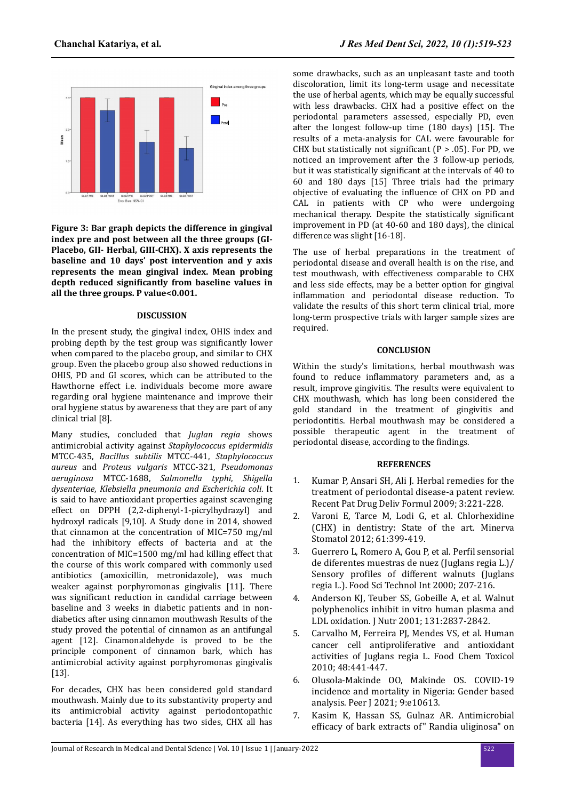

**Figure 3: Bar graph depicts the difference in gingival index pre and post between all the three groups (GI-Placebo, GII- Herbal, GIII-CHX). X axis represents the baseline and 10 days' post intervention and y axis represents the mean gingival index. Mean probing depth reduced significantly from baseline values in all the three groups. P value<0.001.**

#### **DISCUSSION**

In the present study, the gingival index, OHIS index and probing depth by the test group was significantly lower when compared to the placebo group, and similar to CHX group. Even the placebo group also showed reductions in OHIS, PD and GI scores, which can be attributed to the Hawthorne effect i.e. individuals become more aware regarding oral hygiene maintenance and improve their oral hygiene status by awareness that they are part of any clinical trial [8].

Many studies, concluded that *Juglan regia* shows antimicrobial activity against *Staphylococcus epidermidis* MTCC-435, *Bacillus subtilis* MTCC-441, *Staphylococcus aureus* and *Proteus vulgaris* MTCC-321, *Pseudomonas aeruginosa* MTCC-1688, *Salmonella typhi*, *Shigella dysenteriae*, *Klebsiella pneumonia and Escherichia coli*. It is said to have antioxidant properties against scavenging effect on DPPH (2,2-diphenyl-1-picrylhydrazyl) and hydroxyl radicals [9,10]. A Study done in 2014, showed that cinnamon at the concentration of MIC=750 mg/ml had the inhibitory effects of bacteria and at the concentration of MIC=1500 mg/ml had killing effect that the course of this work compared with commonly used antibiotics (amoxicillin, metronidazole), was much weaker against porphyromonas gingivalis [11]. There was significant reduction in candidal carriage between baseline and 3 weeks in diabetic patients and in nondiabetics after using cinnamon mouthwash Results of the study proved the potential of cinnamon as an antifungal agent [12]. Cinamonaldehyde is proved to be the principle component of cinnamon bark, which has antimicrobial activity against porphyromonas gingivalis [13].

For decades, CHX has been considered gold standard mouthwash. Mainly due to its substantivity property and its antimicrobial activity against periodontopathic bacteria [14]. As everything has two sides, CHX all has

some drawbacks, such as an unpleasant taste and tooth discoloration, limit its long-term usage and necessitate the use of herbal agents, which may be equally successful with less drawbacks. CHX had a positive effect on the periodontal parameters assessed, especially PD, even after the longest follow-up time (180 days) [15]. The results of a meta-analysis for CAL were favourable for CHX but statistically not significant (P  $> .05$ ). For PD, we noticed an improvement after the 3 follow-up periods, but it was statistically significant at the intervals of 40 to 60 and 180 days [15] Three trials had the primary objective of evaluating the influence of CHX on PD and CAL in patients with CP who were undergoing mechanical therapy. Despite the statistically significant improvement in PD (at 40-60 and 180 days), the clinical difference was slight [16-18].

The use of herbal preparations in the treatment of periodontal disease and overall health is on the rise, and test mouthwash, with effectiveness comparable to CHX and less side effects, may be a better option for gingival inflammation and periodontal disease reduction. To validate the results of this short term clinical trial, more long-term prospective trials with larger sample sizes are required.

#### **CONCLUSION**

Within the study's limitations, herbal mouthwash was found to reduce inflammatory parameters and, as a result, improve gingivitis. The results were equivalent to CHX mouthwash, which has long been considered the gold standard in the treatment of gingivitis and periodontitis. Herbal mouthwash may be considered a possible therapeutic agent in the treatment of periodontal disease, according to the findings.

#### **REFERENCES**

- 1. [Kumar P, Ansari SH, Ali J. Herbal remedies for the](https://doi.org/10.2174/187221109789105603) [treatment of periodontal disease-a patent review.](https://doi.org/10.2174/187221109789105603) [Recent Pat Drug Deliv Formul 2009; 3:221-228.](https://doi.org/10.2174/187221109789105603)
- 2. [Varoni E, Tarce M, Lodi G, et al. Chlorhexidine](https://www.minervamedica.it/en/journals/minerva-dental-and-oral%20science/article.php?cod=R18Y2012N09A0399) [\(CHX\) in dentistry: State of the art. Minerva](https://www.minervamedica.it/en/journals/minerva-dental-and-oral%20science/article.php?cod=R18Y2012N09A0399) [Stomatol 2012; 61:399-419.](https://www.minervamedica.it/en/journals/minerva-dental-and-oral%20science/article.php?cod=R18Y2012N09A0399)
- 3. [Guerrero L, Romero A, Gou P, et al.](https://doi.org/10.1177%2F108201320000600303) Perfil sensorial [de diferentes muestras de nuez \(Juglans regia L.\)/](https://doi.org/10.1177%2F108201320000600303) Sensory profiles [of different walnuts \(Juglans](https://doi.org/10.1177%2F108201320000600303) [regia L.\). Food Sci Technol Int 2000; 207-216.](https://doi.org/10.1177%2F108201320000600303)
- 4. [Anderson KJ, Teuber SS, Gobeille A, et al. Walnut](https://doi.org/10.1093/jn/131.11.2837) [polyphenolics inhibit in vitro human plasma and](https://doi.org/10.1093/jn/131.11.2837) [LDL oxidation. J Nutr 2001; 131:2837-2842.](https://doi.org/10.1093/jn/131.11.2837)
- 5. [Carvalho M, Ferreira PJ, Mendes VS, et al. Human](https://doi.org/10.1016/j.fct.2009.10.043) [cancer cell antiproliferative and antioxidant](https://doi.org/10.1016/j.fct.2009.10.043) [activities of Juglans regia L. Food Chem Toxicol](https://doi.org/10.1016/j.fct.2009.10.043) [2010; 48:441-447.](https://doi.org/10.1016/j.fct.2009.10.043)
- 6. [Olusola-Makinde OO, Makinde OS. COVID-19](https://doi.org/10.7717/peerj.10613) [incidence and mortality in Nigeria: Gender based](https://doi.org/10.7717/peerj.10613) [analysis. Peer J 2021; 9:e10613.](https://doi.org/10.7717/peerj.10613)
- 7. [Kasim K, Hassan SS, Gulnaz AR. Antimicrobial](http://dx.doi.org/10.14260/jemds/829) efficacy [of bark extracts of" Randia uliginosa" on](http://dx.doi.org/10.14260/jemds/829)